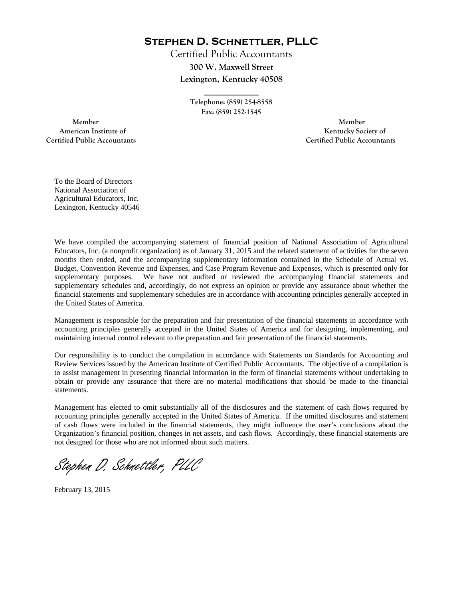**Stephen D. Schnettler, PLLC**

Certified Public Accountants **300 W. Maxwell Street Lexington, Kentucky 40508** 

> **Telephone: (859) 254-8558 Fax: (859) 252-1545**

**\_\_\_\_\_\_\_\_\_\_\_\_** 

 **Member Member Certified Public Accountants Certified Public Accountants** 

American Institute of **Kentucky Society of American Institute of** 

To the Board of Directors National Association of Agricultural Educators, Inc. Lexington, Kentucky 40546

We have compiled the accompanying statement of financial position of National Association of Agricultural Educators, Inc. (a nonprofit organization) as of January 31, 2015 and the related statement of activities for the seven months then ended, and the accompanying supplementary information contained in the Schedule of Actual vs. Budget, Convention Revenue and Expenses, and Case Program Revenue and Expenses, which is presented only for supplementary purposes. We have not audited or reviewed the accompanying financial statements and supplementary schedules and, accordingly, do not express an opinion or provide any assurance about whether the financial statements and supplementary schedules are in accordance with accounting principles generally accepted in the United States of America.

Management is responsible for the preparation and fair presentation of the financial statements in accordance with accounting principles generally accepted in the United States of America and for designing, implementing, and maintaining internal control relevant to the preparation and fair presentation of the financial statements.

Our responsibility is to conduct the compilation in accordance with Statements on Standards for Accounting and Review Services issued by the American Institute of Certified Public Accountants. The objective of a compilation is to assist management in presenting financial information in the form of financial statements without undertaking to obtain or provide any assurance that there are no material modifications that should be made to the financial statements.

Management has elected to omit substantially all of the disclosures and the statement of cash flows required by accounting principles generally accepted in the United States of America. If the omitted disclosures and statement of cash flows were included in the financial statements, they might influence the user's conclusions about the Organization's financial position, changes in net assets, and cash flows. Accordingly, these financial statements are not designed for those who are not informed about such matters.

Stephen D. Schnettler, PLLC

February 13, 2015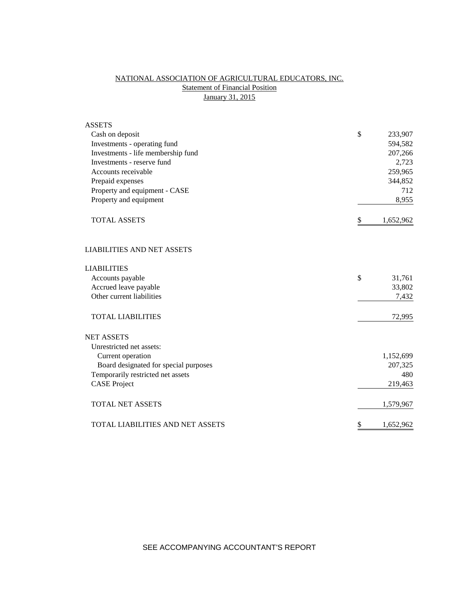# NATIONAL ASSOCIATION OF AGRICULTURAL EDUCATORS, INC. **Statement of Financial Position** January 31, 2015

| <b>ASSETS</b>                         |                 |
|---------------------------------------|-----------------|
| Cash on deposit                       | \$<br>233,907   |
| Investments - operating fund          | 594,582         |
| Investments - life membership fund    | 207,266         |
| Investments - reserve fund            | 2,723           |
| Accounts receivable                   | 259,965         |
| Prepaid expenses                      | 344,852         |
| Property and equipment - CASE         | 712             |
| Property and equipment                | 8,955           |
| <b>TOTAL ASSETS</b>                   | \$<br>1,652,962 |
| <b>LIABILITIES AND NET ASSETS</b>     |                 |
| <b>LIABILITIES</b>                    |                 |
| Accounts payable                      | \$<br>31,761    |
| Accrued leave payable                 | 33,802          |
| Other current liabilities             | 7,432           |
| <b>TOTAL LIABILITIES</b>              | 72,995          |
| <b>NET ASSETS</b>                     |                 |
| Unrestricted net assets:              |                 |
| Current operation                     | 1,152,699       |
| Board designated for special purposes | 207,325         |
| Temporarily restricted net assets     | 480             |
| <b>CASE Project</b>                   | 219,463         |
| <b>TOTAL NET ASSETS</b>               | 1,579,967       |
| TOTAL LIABILITIES AND NET ASSETS      | \$<br>1,652,962 |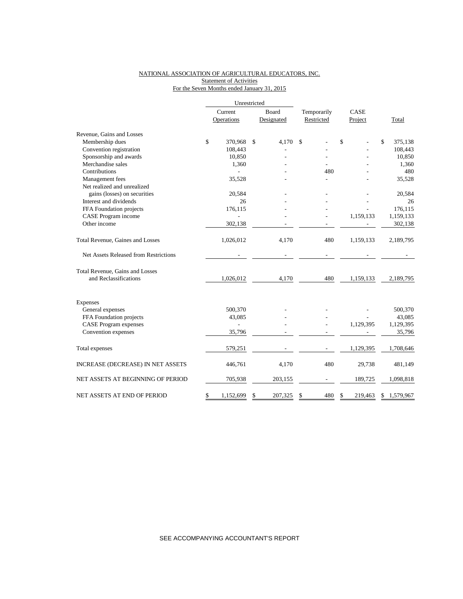## NATIONAL ASSOCIATION OF AGRICULTURAL EDUCATORS, INC.

## **Statement of Activities** For the Seven Months ended January 31, 2015

|                                       | Unrestricted          |               |                     |                           |                          |                 |                 |
|---------------------------------------|-----------------------|---------------|---------------------|---------------------------|--------------------------|-----------------|-----------------|
|                                       | Current<br>Operations |               | Board<br>Designated | Temporarily<br>Restricted |                          | CASE<br>Project | Total           |
| Revenue, Gains and Losses             |                       |               |                     |                           |                          |                 |                 |
| Membership dues                       | \$<br>370,968         | $\mathcal{S}$ | 4,170               | $\mathcal{S}$             |                          | \$              | \$<br>375,138   |
| Convention registration               | 108,443               |               |                     |                           |                          |                 | 108,443         |
| Sponsorship and awards                | 10,850                |               |                     |                           |                          |                 | 10,850          |
| Merchandise sales                     | 1,360                 |               |                     |                           |                          |                 | 1,360           |
| Contributions                         |                       |               |                     |                           | 480                      |                 | 480             |
| Management fees                       | 35,528                |               |                     |                           |                          |                 | 35,528          |
| Net realized and unrealized           |                       |               |                     |                           |                          |                 |                 |
| gains (losses) on securities          | 20,584                |               |                     |                           |                          |                 | 20,584          |
| Interest and dividends                | 26                    |               |                     |                           |                          |                 | 26              |
| FFA Foundation projects               | 176,115               |               |                     |                           |                          |                 | 176,115         |
| CASE Program income                   |                       |               |                     |                           |                          | 1,159,133       | 1,159,133       |
| Other income                          | 302,138               |               |                     |                           | $\overline{\phantom{0}}$ |                 | 302,138         |
| Total Revenue, Gaines and Losses      | 1,026,012             |               | 4,170               |                           | 480                      | 1,159,133       | 2,189,795       |
| Net Assets Released from Restrictions |                       |               | ÷,                  |                           | $\overline{\phantom{0}}$ |                 |                 |
| Total Revenue, Gains and Losses       |                       |               |                     |                           |                          |                 |                 |
| and Reclassifications                 | 1,026,012             |               | 4,170               |                           | 480                      | 1,159,133       | 2,189,795       |
| Expenses                              |                       |               |                     |                           |                          |                 |                 |
| General expenses                      | 500,370               |               |                     |                           |                          |                 | 500,370         |
| FFA Foundation projects               | 43,085                |               |                     |                           |                          |                 | 43,085          |
| <b>CASE Program expenses</b>          |                       |               |                     |                           |                          | 1,129,395       | 1,129,395       |
| Convention expenses                   | 35,796                |               |                     |                           |                          |                 | 35,796          |
|                                       |                       |               |                     |                           |                          |                 |                 |
| Total expenses                        | 579,251               |               |                     |                           |                          | 1,129,395       | 1,708,646       |
| INCREASE (DECREASE) IN NET ASSETS     | 446,761               |               | 4,170               |                           | 480                      | 29,738          | 481,149         |
| NET ASSETS AT BEGINNING OF PERIOD     | 705,938               |               | 203,155             |                           | $\overline{\phantom{0}}$ | 189,725         | 1,098,818       |
| NET ASSETS AT END OF PERIOD           | \$<br>1,152,699       | \$            | 207,325             | \$                        | 480                      | \$<br>219,463   | \$<br>1,579,967 |

## SEE ACCOMPANYING ACCOUNTANT'S REPORT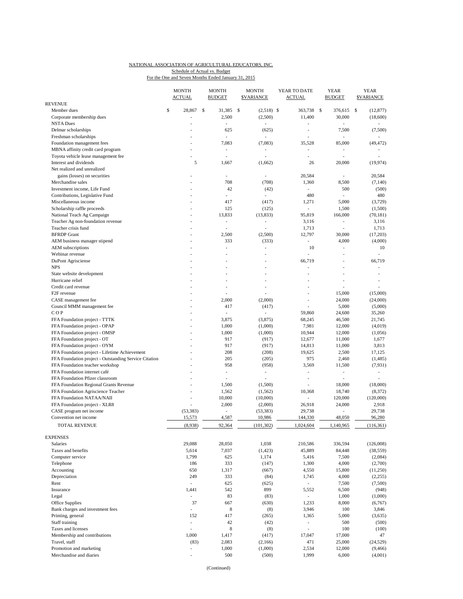# NATIONAL ASSOCIATION OF AGRICULTURAL EDUCATORS, INC.

For the One and Seven Months Ended January 31, 2015 Schedule of Actual vs. Budget

|                                                                 | <b>MONTH</b><br><b>ACTUAL</b> |                                    |     | <b>MONTH</b><br><b>BUDGET</b>   | <b>MONTH</b><br><b>\$VARIANCE</b> | YEAR TO DATE<br><b>ACTUAL</b>     |     | <b>YEAR</b><br><b>BUDGET</b> | <b>YEAR</b><br><b>\$VARIANCE</b> |
|-----------------------------------------------------------------|-------------------------------|------------------------------------|-----|---------------------------------|-----------------------------------|-----------------------------------|-----|------------------------------|----------------------------------|
| <b>REVENUE</b>                                                  |                               |                                    |     |                                 |                                   |                                   |     |                              |                                  |
| Member dues<br>Corporate membership dues                        | \$<br>28,867                  |                                    | -\$ | 31,385<br>2,500                 | \$<br>$(2,518)$ \$<br>(2,500)     | 363,738<br>11,400                 | -\$ | 376,615 \$<br>30,000         | (12, 877)<br>(18,600)            |
| <b>NSTA Dues</b><br>Delmar scholarships                         |                               |                                    |     | $\overline{\phantom{a}}$<br>625 | (625)                             | i,<br>Ĭ.                          |     | ÷,<br>7,500                  |                                  |
| Freshman scholarships                                           |                               |                                    |     | ä,                              |                                   |                                   |     | i,                           | (7,500)                          |
| Foundation management fees                                      |                               |                                    |     | 7,083                           | (7,083)                           | 35,528                            |     | 85,000                       | (49, 472)                        |
| MBNA affinity credit card program                               |                               |                                    |     | ÷,                              |                                   | ÷,                                |     | ÷,                           |                                  |
| Toyota vehicle lease management fee                             |                               |                                    |     | ÷,                              | ÷,                                |                                   |     | ÷,                           |                                  |
| Interest and dividends                                          |                               | 5                                  |     | 1,667                           | (1,662)                           | 26                                |     | 20,000                       | (19, 974)                        |
| Net realized and unrealized                                     |                               |                                    |     |                                 |                                   |                                   |     |                              |                                  |
| gains (losses) on securities<br>Merchandise sales               |                               |                                    |     | ÷,<br>708                       | (708)                             | 20,584<br>1,360                   |     | ä,<br>8,500                  | 20,584<br>(7,140)                |
| Investment income, Life Fund                                    |                               |                                    |     | 42                              | (42)                              | L,                                |     | 500                          | (500)                            |
| Contributions, Legislative Fund                                 |                               |                                    |     | ä,                              | $\overline{\phantom{a}}$          | 480                               |     | $\overline{\phantom{a}}$     | 480                              |
| Miscellaneous income                                            |                               |                                    |     | 417                             | (417)                             | 1,271                             |     | 5,000                        | (3,729)                          |
| Scholarship raffle proceeds                                     |                               |                                    |     | 125                             | (125)                             | ÷,                                |     | 1,500                        | (1,500)                          |
| National Teach Ag Campaign                                      |                               |                                    |     | 13,833                          | (13, 833)                         | 95,819                            |     | 166,000                      | (70, 181)                        |
| Teacher Ag non-foundation revenue                               |                               |                                    |     | $\overline{\phantom{a}}$<br>÷,  | $\overline{\phantom{a}}$<br>٠     | 3,116                             |     | $\overline{a}$<br>÷,         | 3,116                            |
| Teacher crisis fund<br><b>BFRDP</b> Grant                       |                               |                                    |     | 2,500                           | (2,500)                           | 1,713<br>12,797                   |     | 30,000                       | 1,713<br>(17,203)                |
| AEM business manager stipend                                    |                               |                                    |     | 333                             | (333)                             | $\overline{\phantom{a}}$          |     | 4,000                        | (4,000)                          |
| AEM subscriptions                                               |                               |                                    |     | ÷,                              | ÷,                                | 10                                |     | ÷,                           | 10                               |
| Webinar revenue                                                 |                               |                                    |     |                                 |                                   | L.                                |     | L,                           |                                  |
| DuPont Agrisciense                                              |                               |                                    |     |                                 |                                   | 66,719                            |     |                              | 66,719                           |
| <b>NPS</b>                                                      |                               |                                    |     |                                 |                                   |                                   |     |                              |                                  |
| State website development                                       |                               |                                    |     |                                 |                                   |                                   |     |                              |                                  |
| Hurricane relief<br>Credit card revenue                         |                               |                                    |     |                                 |                                   | ä,                                |     | ä,<br>٠                      |                                  |
| F <sub>2F</sub> revenue                                         |                               |                                    |     |                                 |                                   |                                   |     | 15,000                       | (15,000)                         |
| CASE management fee                                             |                               |                                    |     | 2,000                           | (2,000)                           | Ĭ.                                |     | 24,000                       | (24,000)                         |
| Council MMM management fee                                      |                               |                                    |     | 417                             | (417)                             | Ĭ.                                |     | 5,000                        | (5,000)                          |
| COP                                                             |                               |                                    |     | ÷,                              |                                   | 59,860                            |     | 24,600                       | 35,260                           |
| FFA Foundation project - TTTK                                   |                               |                                    |     | 3,875                           | (3,875)                           | 68,245                            |     | 46,500                       | 21,745                           |
| FFA Foundation project - OPAP                                   |                               |                                    |     | 1,000                           | (1,000)                           | 7,981                             |     | 12,000                       | (4,019)                          |
| FFA Foundation project - OMSP                                   |                               |                                    |     | 1,000                           | (1,000)                           | 10,944                            |     | 12,000                       | (1,056)                          |
| FFA Foundation project - OT<br>FFA Foundation project - OYM     |                               |                                    |     | 917<br>917                      | (917)<br>(917)                    | 12,677<br>14,813                  |     | 11,000<br>11,000             | 1,677<br>3,813                   |
| FFA Foundation project - Lifetime Achievement                   |                               |                                    |     | 208                             | (208)                             | 19,625                            |     | 2,500                        | 17,125                           |
| FFA Foundation project - Outstanding Service Citation           |                               |                                    |     | 205                             | (205)                             | 975                               |     | 2,460                        | (1,485)                          |
| FFA Foundation teacher workshop                                 |                               |                                    |     | 958                             | (958)                             | 3,569                             |     | 11,500                       | (7, 931)                         |
| FFA Foundation internet café                                    |                               |                                    |     | ÷,                              | ÷.                                | ÷,                                |     | $\overline{\phantom{a}}$     | $\sim$                           |
| FFA Foundation Pfizer classroom                                 |                               |                                    |     | ÷,                              | i,                                | ÷,                                |     | $\overline{\phantom{a}}$     |                                  |
| FFA Foundation Regional Grants Revenue                          |                               |                                    |     | 1,500                           | (1,500)                           |                                   |     | 18,000                       | (18,000)                         |
| FFA Foundation Agriscience Teacher<br>FFA Foundation NATAA/NAII |                               |                                    |     | 1,562<br>10,000                 | (1, 562)<br>(10,000)              | 10,368<br>J.                      |     | 18,740<br>120,000            | (8, 372)<br>(120,000)            |
| FFA Foundation project - XLR8                                   |                               |                                    |     | 2,000                           | (2,000)                           | 26,918                            |     | 24,000                       | 2,918                            |
| CASE program net income                                         | (53, 383)                     |                                    |     |                                 | (53, 383)                         | 29,738                            |     |                              | 29,738                           |
| Convention net income                                           | 15,573                        |                                    |     | 4,587                           | 10,986                            | 144,330                           |     | 48,050                       | 96,280                           |
| TOTAL REVENUE                                                   |                               | (8,938)                            |     | 92,364                          | (101, 302)                        | 1,024,604                         |     | 1,140,965                    | (116, 361)                       |
| <b>EXPENSES</b>                                                 |                               |                                    |     |                                 |                                   |                                   |     |                              |                                  |
| Salaries                                                        | 29,088                        |                                    |     | 28,050                          | 1,038                             | 210,586                           |     | 336,594                      | (126,008)                        |
| Taxes and benefits                                              |                               | 5,614                              |     | 7,037                           | (1, 423)                          | 45,889                            |     | 84,448                       | (38, 559)                        |
| Computer service                                                |                               | 1,799                              |     | 625                             | 1,174                             | 5,416                             |     | 7,500                        | (2,084)                          |
| Telephone                                                       |                               | 186                                |     | 333                             | (147)                             | 1,300                             |     | 4,000                        | (2,700)                          |
| Accounting                                                      |                               | 650                                |     | 1,317                           | (667)                             | 4,550                             |     | 15,800                       | (11,250)                         |
| Depreciation<br>Rent                                            |                               | 249<br>$\mathcal{L}_{\mathcal{A}}$ |     | 333<br>625                      | (84)                              | 1,745<br>$\overline{\phantom{a}}$ |     | 4,000<br>7,500               | (2,255)                          |
| Insurance                                                       |                               | 1,441                              |     | 542                             | (625)<br>899                      | 5,552                             |     | 6,500                        | (7,500)<br>(948)                 |
| Legal                                                           |                               | $\overline{\phantom{a}}$           |     | 83                              | (83)                              |                                   |     | 1,000                        | (1,000)                          |
| Office Supplies                                                 |                               | 37                                 |     | 667                             | (630)                             | 1,233                             |     | 8,000                        | (6,767)                          |
| Bank charges and investment fees                                |                               | ä,                                 |     | 8                               | (8)                               | 3,946                             |     | 100                          | 3,846                            |
| Printing, general                                               |                               | 152                                |     | 417                             | (265)                             | 1,365                             |     | 5,000                        | (3,635)                          |
| Staff training                                                  |                               | ä,                                 |     | 42                              | (42)                              | $\overline{\phantom{a}}$          |     | 500                          | (500)                            |
| Taxes and licenses                                              |                               | ä,                                 |     | $\,$ 8 $\,$                     | (8)                               | L,                                |     | 100                          | (100)                            |
| Membership and contributions<br>Travel, staff                   |                               | 1,000<br>(83)                      |     | 1,417<br>2,083                  | (417)<br>(2,166)                  | 17,047<br>471                     |     | 17,000<br>25,000             | 47<br>(24, 529)                  |
| Promotion and marketing                                         |                               |                                    |     | 1,000                           | (1,000)                           | 2,534                             |     | 12,000                       | (9, 466)                         |
| Merchandise and diaries                                         |                               |                                    |     | 500                             | (500)                             | 1,999                             |     | 6,000                        | (4,001)                          |

(Continued)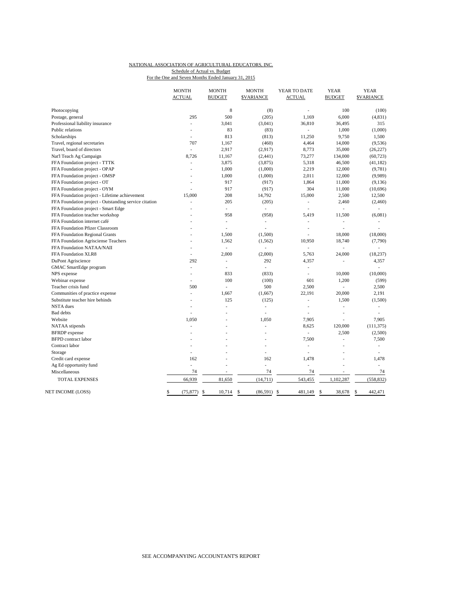### NATIONAL ASSOCIATION OF AGRICULTURAL EDUCATORS, INC. Schedule of Actual vs. Budget

For the One and Seven Months Ended January 31, 2015

|                                                       | <b>MONTH</b><br><b>ACTUAL</b> | <b>MONTH</b><br><b>BUDGET</b> | <b>MONTH</b><br><b>SVARIANCE</b> | YEAR TO DATE<br><b>ACTUAL</b> | <b>YEAR</b><br><b>BUDGET</b> | <b>YEAR</b><br><b>SVARIANCE</b> |
|-------------------------------------------------------|-------------------------------|-------------------------------|----------------------------------|-------------------------------|------------------------------|---------------------------------|
| Photocopying                                          |                               | 8                             | (8)                              |                               | 100                          | (100)                           |
| Postage, general                                      | 295                           | 500                           | (205)                            | 1.169                         | 6,000                        | (4, 831)                        |
| Professional liability insurance                      | L.                            | 3,041                         | (3,041)                          | 36,810                        | 36,495                       | 315                             |
| Public relations                                      |                               | 83                            | (83)                             | $\overline{a}$                | 1,000                        | (1,000)                         |
| Scholarships                                          |                               | 813                           | (813)                            | 11,250                        | 9,750                        | 1,500                           |
| Travel, regional secretaries                          | 707                           | 1,167                         | (460)                            | 4,464                         | 14,000                       | (9, 536)                        |
| Travel, board of directors                            | L.                            | 2,917                         | (2,917)                          | 8,773                         | 35,000                       | (26, 227)                       |
| Nat'l Teach Ag Campaign                               | 8,726                         | 11,167                        | (2,441)                          | 73,277                        | 134,000                      | (60, 723)                       |
| FFA Foundation project - TTTK                         | ÷,                            | 3,875                         | (3,875)                          | 5,318                         | 46,500                       | (41, 182)                       |
| FFA Foundation project - OPAP                         |                               | 1,000                         | (1,000)                          | 2,219                         | 12,000                       | (9,781)                         |
| FFA Foundation project - OMSP                         | ÷.                            | 1,000                         | (1,000)                          | 2,011                         | 12,000                       | (9,989)                         |
| FFA Foundation project - OT                           |                               | 917                           | (917)                            | 1,864                         | 11,000                       | (9, 136)                        |
| FFA Foundation project - OYM                          |                               | 917                           | (917)                            | 304                           | 11,000                       | (10,696)                        |
| FFA Foundation project - Lifetime achievement         | 15,000                        | 208                           | 14,792                           | 15,000                        | 2,500                        | 12,500                          |
| FFA Foundation project - Outstanding service citation | ä,                            | 205                           | (205)                            | L,                            | 2,460                        | (2,460)                         |
| FFA Foundation project - Smart Edge                   |                               | ÷,                            | ÷,                               | ÷,                            | L.                           |                                 |
| FFA Foundation teacher workshop                       |                               | 958                           | (958)                            | 5,419                         | 11,500                       | (6,081)                         |
| FFA Foundation internet café                          |                               | $\overline{\phantom{a}}$      | $\overline{\phantom{a}}$         | ÷,                            | $\overline{\phantom{a}}$     |                                 |
| FFA Foundation Pfizer Classroom                       |                               | ä,                            | J.                               | ٠                             | ä,                           |                                 |
| FFA Foundation Regional Grants                        |                               | 1,500                         | (1,500)                          | ä,                            | 18,000                       | (18,000)                        |
| FFA Foundation Agrisciense Teachers                   |                               | 1,562                         | (1, 562)                         | 10,950                        | 18,740                       | (7,790)                         |
| FFA Foundation NATAA/NAII                             |                               | $\overline{\phantom{a}}$      | ÷,                               | L,                            | ٠                            |                                 |
| FFA Foundation XLR8                                   |                               | 2,000                         | (2,000)                          | 5,763                         | 24,000                       | (18, 237)                       |
| DuPont Agriscience                                    | 292                           | ä,                            | 292                              | 4,357                         | ÷.                           | 4,357                           |
| GMAC SmartEdge program                                | ä,                            | $\overline{\phantom{a}}$      | $\frac{1}{2}$                    | L,                            |                              |                                 |
| NPS expense                                           | ä,                            | 833                           | (833)                            | ÷,                            | 10,000                       | (10,000)                        |
| Webinar expense                                       |                               | 100                           | (100)                            | 601                           | 1,200                        | (599)                           |
| Teacher crisis fund                                   | 500                           | ÷,                            | 500                              | 2,500                         |                              | 2,500                           |
| Communities of practice expense                       | ÷.                            | 1,667                         | (1,667)                          | 22,191                        | 20,000                       | 2,191                           |
| Substitute teacher hire behinds                       | L,                            | 125                           | (125)                            | L,                            | 1,500                        | (1,500)                         |
| <b>NSTA</b> dues                                      |                               | ÷,                            | Ĭ.                               | ÷,                            | ä,                           |                                 |
| <b>Bad</b> debts                                      |                               |                               | ÷,                               | ÷.                            | $\overline{\phantom{a}}$     |                                 |
| Website                                               | 1,050                         |                               | 1,050                            | 7,905                         | ä,                           | 7,905                           |
| NATAA stipends                                        |                               |                               | $\overline{a}$                   | 8.625                         | 120,000                      | (111, 375)                      |
| <b>BFRDP</b> expense                                  |                               |                               |                                  |                               | 2,500                        | (2,500)                         |
| <b>BFPD</b> contract labor                            |                               |                               |                                  | 7,500                         | ä,                           | 7,500                           |
| Contract labor                                        |                               |                               | ä,                               | ÷,                            |                              | L.                              |
| Storage                                               | L.                            |                               | ÷,                               | L.                            |                              |                                 |
| Credit card expense                                   | 162                           |                               | 162                              | 1,478                         | ÷.                           | 1,478                           |
| Ag Ed opportunity fund                                | ÷.                            |                               | L.                               | ä,                            |                              | ÷.                              |
| Miscellaneous                                         | 74                            | ÷,                            | 74                               | 74                            | ٠                            | 74                              |
| TOTAL EXPENSES                                        | 66,939                        | 81,650                        | (14, 711)                        | 543,455                       | 1,102,287                    | (558, 832)                      |
| NET INCOME (LOSS)                                     | \$<br>(75, 877)               | \$<br>10,714                  | \$<br>(86,591)                   | 481,149<br>\$                 | \$<br>38,678                 | \$<br>442,471                   |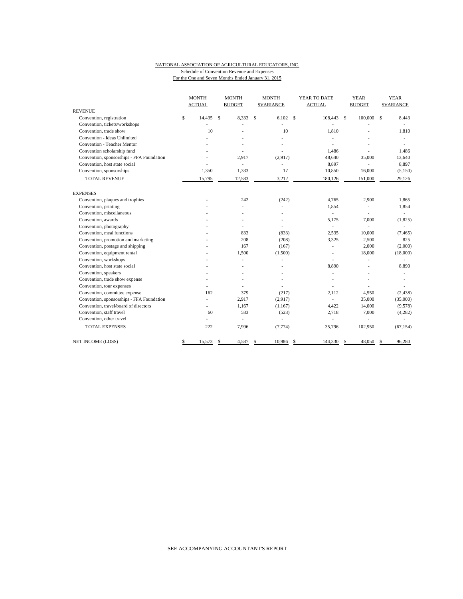#### NATIONAL ASSOCIATION OF AGRICULTURAL EDUCATORS, INC. Schedule of Convention Revenue and Expenses For the One and Seven Months Ended January 31, 2015

|                                           | <b>MONTH</b><br><b>ACTUAL</b> |               | <b>MONTH</b><br><b>BUDGET</b> | <b>MONTH</b><br><b>SVARIANCE</b> |              | YEAR TO DATE<br><b>ACTUAL</b> |               | <b>YEAR</b><br><b>BUDGET</b> |               | <b>YEAR</b><br><b>\$VARIANCE</b> |
|-------------------------------------------|-------------------------------|---------------|-------------------------------|----------------------------------|--------------|-------------------------------|---------------|------------------------------|---------------|----------------------------------|
| <b>REVENUE</b>                            |                               |               |                               |                                  |              |                               |               |                              |               |                                  |
| Convention, registration                  | \$<br>14.435                  | <sup>\$</sup> | 8,333                         | \$<br>6,102                      | $\mathbf{s}$ | 108,443                       | <sup>\$</sup> | 100,000                      | <sup>\$</sup> | 8,443                            |
| Convention, tickets/workshops             |                               |               |                               |                                  |              |                               |               |                              |               |                                  |
| Convention, trade show                    | 10                            |               |                               | 10                               |              | 1.810                         |               |                              |               | 1,810                            |
| Convention - Ideas Unlimited              |                               |               |                               |                                  |              |                               |               |                              |               |                                  |
| <b>Convention - Teacher Mentor</b>        |                               |               |                               |                                  |              |                               |               |                              |               |                                  |
| Convention scholarship fund               |                               |               |                               |                                  |              | 1,486                         |               |                              |               | 1,486                            |
| Convention, sponsorships - FFA Foundation |                               |               | 2,917                         | (2,917)                          |              | 48,640                        |               | 35,000                       |               | 13,640                           |
| Convention, host state social             |                               |               | ÷,                            | ä,                               |              | 8,897                         |               | ä,                           |               | 8,897                            |
| Convention, sponsorships                  | 1,350                         |               | 1,333                         | 17                               |              | 10,850                        |               | 16,000                       |               | (5,150)                          |
| TOTAL REVENUE                             | 15,795                        |               | 12,583                        | 3,212                            |              | 180,126                       |               | 151,000                      |               | 29,126                           |
| <b>EXPENSES</b>                           |                               |               |                               |                                  |              |                               |               |                              |               |                                  |
| Convention, plaques and trophies          |                               |               | 242                           | (242)                            |              | 4,765                         |               | 2,900                        |               | 1,865                            |
| Convention, printing                      |                               |               | $\overline{a}$                |                                  |              | 1,854                         |               | L,                           |               | 1,854                            |
| Convention, miscellaneous                 |                               |               |                               |                                  |              | L,                            |               | ä,                           |               |                                  |
| Convention, awards                        |                               |               |                               |                                  |              | 5,175                         |               | 7,000                        |               | (1,825)                          |
| Convention, photography                   |                               |               |                               |                                  |              | ä,                            |               | ٠                            |               |                                  |
| Convention, meal functions                |                               |               | 833                           | (833)                            |              | 2,535                         |               | 10,000                       |               | (7, 465)                         |
| Convention, promotion and marketing       |                               |               | 208                           | (208)                            |              | 3,325                         |               | 2,500                        |               | 825                              |
| Convention, postage and shipping          |                               |               | 167                           | (167)                            |              |                               |               | 2,000                        |               | (2,000)                          |
| Convention, equipment rental              |                               |               | 1,500                         | (1,500)                          |              |                               |               | 18,000                       |               | (18,000)                         |
| Convention, workshops                     |                               |               |                               |                                  |              |                               |               |                              |               |                                  |
| Convention, host state social             |                               |               |                               |                                  |              | 8,890                         |               |                              |               | 8,890                            |
| Convention, speakers                      |                               |               |                               |                                  |              |                               |               |                              |               |                                  |
| Convention, trade show expense            |                               |               |                               |                                  |              |                               |               |                              |               |                                  |
| Convention, tour expenses                 |                               |               |                               |                                  |              |                               |               |                              |               |                                  |
| Convention, committee expense             | 162                           |               | 379                           | (217)                            |              | 2,112                         |               | 4,550                        |               | (2, 438)                         |
| Convention, sponsorships - FFA Foundation |                               |               | 2.917                         | (2,917)                          |              |                               |               | 35,000                       |               | (35,000)                         |
| Convention, travel/board of directors     |                               |               | 1,167                         | (1,167)                          |              | 4,422                         |               | 14,000                       |               | (9,578)                          |
| Convention, staff travel                  | 60                            |               | 583                           | (523)                            |              | 2,718                         |               | 7,000                        |               | (4,282)                          |
| Convention, other travel                  | $\overline{\phantom{a}}$      |               | $\overline{\phantom{a}}$      | $\overline{\phantom{a}}$         |              | $\overline{\phantom{a}}$      |               |                              |               |                                  |
| <b>TOTAL EXPENSES</b>                     | 222                           |               | 7,996                         | (7, 774)                         |              | 35,796                        |               | 102,950                      |               | (67, 154)                        |
| NET INCOME (LOSS)                         | \$<br>15,573                  | \$            | 4,587                         | \$<br>10,986                     | \$           | 144,330                       | \$            | 48,050                       | S             | 96,280                           |